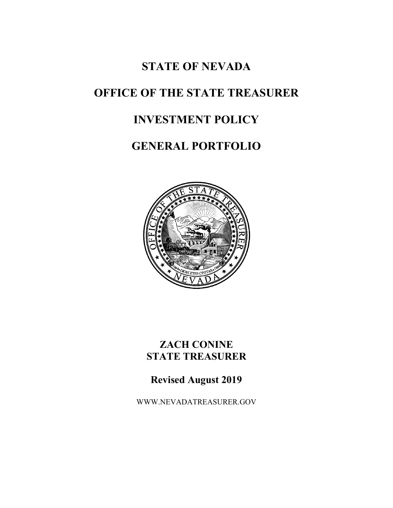# **STATE OF NEVADA**

# **OFFICE OF THE STATE TREASURER**

# **INVESTMENT POLICY**

# **GENERAL PORTFOLIO**



# **ZACH CONINE STATE TREASURER**

# **Revised August 2019**

WWW.NEVADATREASURER.GOV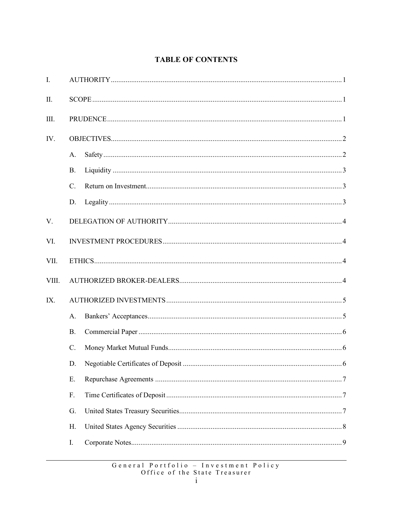# **TABLE OF CONTENTS**

| I.    |                 |  |  |
|-------|-----------------|--|--|
| Π.    |                 |  |  |
| III.  |                 |  |  |
| IV.   |                 |  |  |
|       | A.              |  |  |
|       | <b>B.</b>       |  |  |
|       | $\mathcal{C}$ . |  |  |
|       | D.              |  |  |
| V.    |                 |  |  |
| VI.   |                 |  |  |
| VII.  |                 |  |  |
| VIII. |                 |  |  |
| IX.   |                 |  |  |
|       | $\mathsf{A}$ .  |  |  |
|       | <b>B.</b>       |  |  |
|       | $C_{\cdot}$     |  |  |
|       |                 |  |  |
|       | Ε.              |  |  |
|       | F.              |  |  |
|       | G.              |  |  |
|       | Η.              |  |  |
|       | Ι.              |  |  |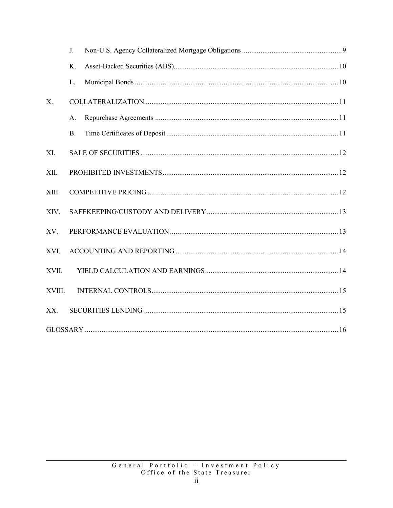|        | J.        |  |
|--------|-----------|--|
|        | K.        |  |
|        | L.        |  |
| X.     |           |  |
|        | A.        |  |
|        | <b>B.</b> |  |
| XI.    |           |  |
| XII.   |           |  |
| XIII.  |           |  |
| XIV.   |           |  |
| XV.    |           |  |
| XVI.   |           |  |
| XVII.  |           |  |
| XVIII. |           |  |
| XX.    |           |  |
|        |           |  |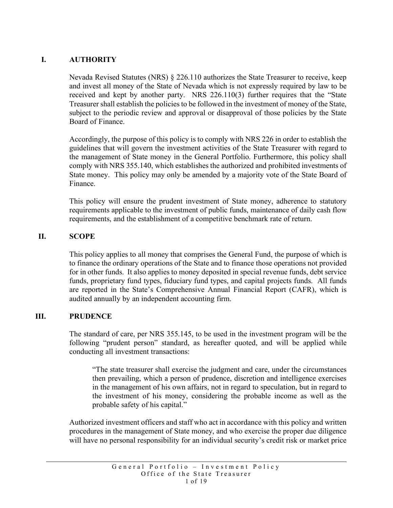## <span id="page-3-0"></span>**I. AUTHORITY**

Nevada Revised Statutes (NRS) § 226.110 authorizes the State Treasurer to receive, keep and invest all money of the State of Nevada which is not expressly required by law to be received and kept by another party. NRS 226.110(3) further requires that the "State Treasurer shall establish the policies to be followed in the investment of money of the State, subject to the periodic review and approval or disapproval of those policies by the State Board of Finance.

Accordingly, the purpose of this policy is to comply with NRS 226 in order to establish the guidelines that will govern the investment activities of the State Treasurer with regard to the management of State money in the General Portfolio. Furthermore, this policy shall comply with NRS 355.140, which establishes the authorized and prohibited investments of State money. This policy may only be amended by a majority vote of the State Board of Finance.

This policy will ensure the prudent investment of State money, adherence to statutory requirements applicable to the investment of public funds, maintenance of daily cash flow requirements, and the establishment of a competitive benchmark rate of return.

#### <span id="page-3-1"></span>**II. SCOPE**

This policy applies to all money that comprises the General Fund, the purpose of which is to finance the ordinary operations of the State and to finance those operations not provided for in other funds. It also applies to money deposited in special revenue funds, debt service funds, proprietary fund types, fiduciary fund types, and capital projects funds. All funds are reported in the State's Comprehensive Annual Financial Report (CAFR), which is audited annually by an independent accounting firm.

#### <span id="page-3-2"></span>**III. PRUDENCE**

The standard of care, per NRS 355.145, to be used in the investment program will be the following "prudent person" standard, as hereafter quoted, and will be applied while conducting all investment transactions:

"The state treasurer shall exercise the judgment and care, under the circumstances then prevailing, which a person of prudence, discretion and intelligence exercises in the management of his own affairs, not in regard to speculation, but in regard to the investment of his money, considering the probable income as well as the probable safety of his capital."

Authorized investment officers and staff who act in accordance with this policy and written procedures in the management of State money, and who exercise the proper due diligence will have no personal responsibility for an individual security's credit risk or market price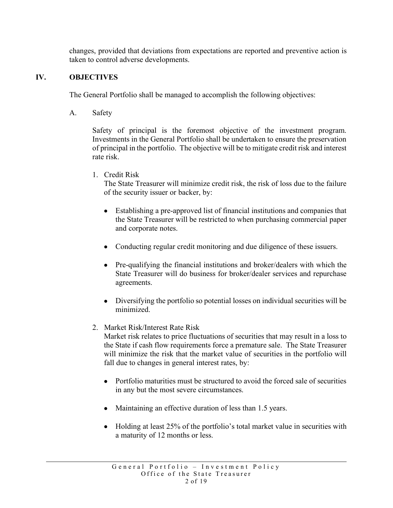changes, provided that deviations from expectations are reported and preventive action is taken to control adverse developments.

### <span id="page-4-0"></span>**IV. OBJECTIVES**

The General Portfolio shall be managed to accomplish the following objectives:

<span id="page-4-1"></span>A. Safety

Safety of principal is the foremost objective of the investment program. Investments in the General Portfolio shall be undertaken to ensure the preservation of principal in the portfolio. The objective will be to mitigate credit risk and interest rate risk.

1. Credit Risk

The State Treasurer will minimize credit risk, the risk of loss due to the failure of the security issuer or backer, by:

- Establishing a pre-approved list of financial institutions and companies that the State Treasurer will be restricted to when purchasing commercial paper and corporate notes.
- Conducting regular credit monitoring and due diligence of these issuers.
- Pre-qualifying the financial institutions and broker/dealers with which the State Treasurer will do business for broker/dealer services and repurchase agreements.
- Diversifying the portfolio so potential losses on individual securities will be minimized.
- 2. Market Risk/Interest Rate Risk

Market risk relates to price fluctuations of securities that may result in a loss to the State if cash flow requirements force a premature sale. The State Treasurer will minimize the risk that the market value of securities in the portfolio will fall due to changes in general interest rates, by:

- Portfolio maturities must be structured to avoid the forced sale of securities in any but the most severe circumstances.
- Maintaining an effective duration of less than 1.5 years.
- Holding at least 25% of the portfolio's total market value in securities with a maturity of 12 months or less.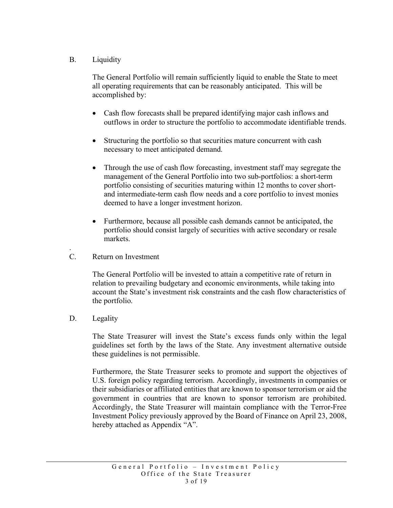### <span id="page-5-0"></span>B. Liquidity

The General Portfolio will remain sufficiently liquid to enable the State to meet all operating requirements that can be reasonably anticipated. This will be accomplished by:

- Cash flow forecasts shall be prepared identifying major cash inflows and outflows in order to structure the portfolio to accommodate identifiable trends.
- Structuring the portfolio so that securities mature concurrent with cash necessary to meet anticipated demand.
- Through the use of cash flow forecasting, investment staff may segregate the management of the General Portfolio into two sub-portfolios: a short-term portfolio consisting of securities maturing within 12 months to cover shortand intermediate-term cash flow needs and a core portfolio to invest monies deemed to have a longer investment horizon.
- Furthermore, because all possible cash demands cannot be anticipated, the portfolio should consist largely of securities with active secondary or resale markets.
- <span id="page-5-1"></span>. C. Return on Investment

The General Portfolio will be invested to attain a competitive rate of return in relation to prevailing budgetary and economic environments, while taking into account the State's investment risk constraints and the cash flow characteristics of the portfolio.

<span id="page-5-2"></span>D. Legality

The State Treasurer will invest the State's excess funds only within the legal guidelines set forth by the laws of the State. Any investment alternative outside these guidelines is not permissible.

Furthermore, the State Treasurer seeks to promote and support the objectives of U.S. foreign policy regarding terrorism. Accordingly, investments in companies or their subsidiaries or affiliated entities that are known to sponsor terrorism or aid the government in countries that are known to sponsor terrorism are prohibited. Accordingly, the State Treasurer will maintain compliance with the Terror-Free Investment Policy previously approved by the Board of Finance on April 23, 2008, hereby attached as Appendix "A".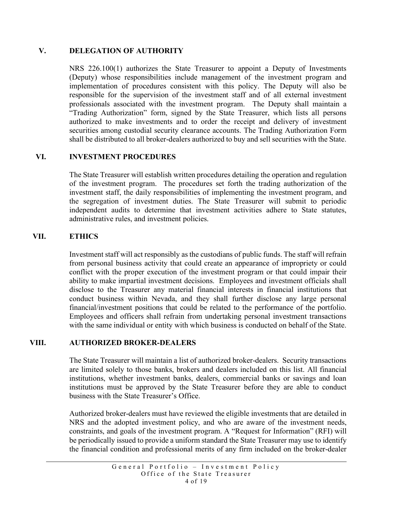#### <span id="page-6-0"></span>**V. DELEGATION OF AUTHORITY**

NRS 226.100(1) authorizes the State Treasurer to appoint a Deputy of Investments (Deputy) whose responsibilities include management of the investment program and implementation of procedures consistent with this policy. The Deputy will also be responsible for the supervision of the investment staff and of all external investment professionals associated with the investment program. The Deputy shall maintain a "Trading Authorization" form, signed by the State Treasurer, which lists all persons authorized to make investments and to order the receipt and delivery of investment securities among custodial security clearance accounts. The Trading Authorization Form shall be distributed to all broker-dealers authorized to buy and sell securities with the State.

#### <span id="page-6-1"></span>**VI. INVESTMENT PROCEDURES**

The State Treasurer will establish written procedures detailing the operation and regulation of the investment program. The procedures set forth the trading authorization of the investment staff, the daily responsibilities of implementing the investment program, and the segregation of investment duties. The State Treasurer will submit to periodic independent audits to determine that investment activities adhere to State statutes, administrative rules, and investment policies.

#### <span id="page-6-2"></span>**VII. ETHICS**

Investment staff will act responsibly as the custodians of public funds. The staff will refrain from personal business activity that could create an appearance of impropriety or could conflict with the proper execution of the investment program or that could impair their ability to make impartial investment decisions. Employees and investment officials shall disclose to the Treasurer any material financial interests in financial institutions that conduct business within Nevada, and they shall further disclose any large personal financial/investment positions that could be related to the performance of the portfolio. Employees and officers shall refrain from undertaking personal investment transactions with the same individual or entity with which business is conducted on behalf of the State.

#### <span id="page-6-3"></span>**VIII. AUTHORIZED BROKER-DEALERS**

The State Treasurer will maintain a list of authorized broker-dealers. Security transactions are limited solely to those banks, brokers and dealers included on this list. All financial institutions, whether investment banks, dealers, commercial banks or savings and loan institutions must be approved by the State Treasurer before they are able to conduct business with the State Treasurer's Office.

Authorized broker-dealers must have reviewed the eligible investments that are detailed in NRS and the adopted investment policy, and who are aware of the investment needs, constraints, and goals of the investment program. A "Request for Information" (RFI) will be periodically issued to provide a uniform standard the State Treasurer may use to identify the financial condition and professional merits of any firm included on the broker-dealer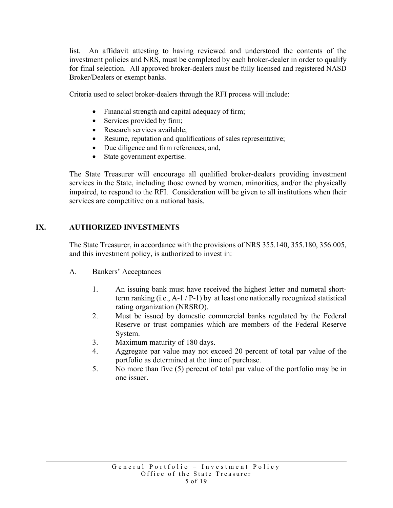list. An affidavit attesting to having reviewed and understood the contents of the investment policies and NRS, must be completed by each broker-dealer in order to qualify for final selection. All approved broker-dealers must be fully licensed and registered NASD Broker/Dealers or exempt banks.

Criteria used to select broker-dealers through the RFI process will include:

- Financial strength and capital adequacy of firm;
- Services provided by firm;
- Research services available;
- Resume, reputation and qualifications of sales representative;
- Due diligence and firm references; and,
- State government expertise.

The State Treasurer will encourage all qualified broker-dealers providing investment services in the State, including those owned by women, minorities, and/or the physically impaired, to respond to the RFI. Consideration will be given to all institutions when their services are competitive on a national basis.

# <span id="page-7-0"></span>**IX. AUTHORIZED INVESTMENTS**

The State Treasurer, in accordance with the provisions of NRS 355.140, 355.180, 356.005, and this investment policy, is authorized to invest in:

- <span id="page-7-1"></span>A. Bankers' Acceptances
	- 1. An issuing bank must have received the highest letter and numeral shortterm ranking (i.e., A-1 / P-1) by at least one nationally recognized statistical rating organization (NRSRO).
	- 2. Must be issued by domestic commercial banks regulated by the Federal Reserve or trust companies which are members of the Federal Reserve System.
	- 3. Maximum maturity of 180 days.
	- 4. Aggregate par value may not exceed 20 percent of total par value of the portfolio as determined at the time of purchase.
	- 5. No more than five (5) percent of total par value of the portfolio may be in one issuer.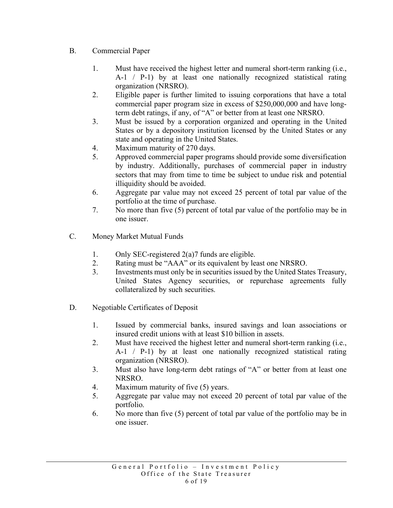- <span id="page-8-0"></span>B. Commercial Paper
	- 1. Must have received the highest letter and numeral short-term ranking (i.e., A-1 / P-1) by at least one nationally recognized statistical rating organization (NRSRO).
	- 2. Eligible paper is further limited to issuing corporations that have a total commercial paper program size in excess of \$250,000,000 and have longterm debt ratings, if any, of "A" or better from at least one NRSRO.
	- 3. Must be issued by a corporation organized and operating in the United States or by a depository institution licensed by the United States or any state and operating in the United States.
	- 4. Maximum maturity of 270 days.
	- 5. Approved commercial paper programs should provide some diversification by industry. Additionally, purchases of commercial paper in industry sectors that may from time to time be subject to undue risk and potential illiquidity should be avoided.
	- 6. Aggregate par value may not exceed 25 percent of total par value of the portfolio at the time of purchase.
	- 7. No more than five (5) percent of total par value of the portfolio may be in one issuer.
- <span id="page-8-1"></span>C. Money Market Mutual Funds
	- 1. Only SEC-registered 2(a)7 funds are eligible.
	- 2. Rating must be "AAA" or its equivalent by least one NRSRO.
	- 3. Investments must only be in securities issued by the United States Treasury, United States Agency securities, or repurchase agreements fully collateralized by such securities.
- <span id="page-8-2"></span>D. Negotiable Certificates of Deposit
	- 1. Issued by commercial banks, insured savings and loan associations or insured credit unions with at least \$10 billion in assets.
	- 2. Must have received the highest letter and numeral short-term ranking (i.e., A-1 / P-1) by at least one nationally recognized statistical rating organization (NRSRO).
	- 3. Must also have long-term debt ratings of "A" or better from at least one NRSRO.
	- 4. Maximum maturity of five (5) years.
	- 5. Aggregate par value may not exceed 20 percent of total par value of the portfolio.
	- 6. No more than five (5) percent of total par value of the portfolio may be in one issuer.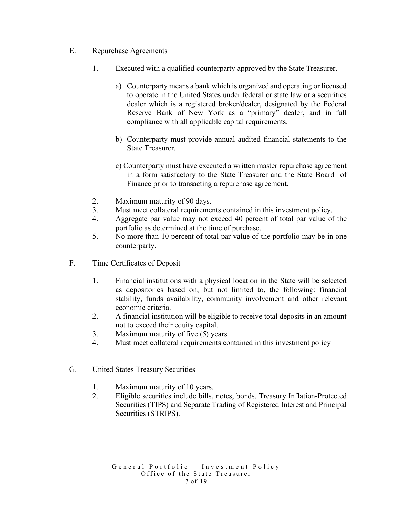- <span id="page-9-0"></span>E. Repurchase Agreements
	- 1. Executed with a qualified counterparty approved by the State Treasurer.
		- a) Counterparty means a bank which is organized and operating or licensed to operate in the United States under federal or state law or a securities dealer which is a registered broker/dealer, designated by the Federal Reserve Bank of New York as a "primary" dealer, and in full compliance with all applicable capital requirements.
		- b) Counterparty must provide annual audited financial statements to the State Treasurer.
		- c) Counterparty must have executed a written master repurchase agreement in a form satisfactory to the State Treasurer and the State Board of Finance prior to transacting a repurchase agreement.
	- 2. Maximum maturity of 90 days.
	- 3. Must meet collateral requirements contained in this investment policy.
	- 4. Aggregate par value may not exceed 40 percent of total par value of the portfolio as determined at the time of purchase.
	- 5. No more than 10 percent of total par value of the portfolio may be in one counterparty.
- <span id="page-9-1"></span>F. Time Certificates of Deposit
	- 1. Financial institutions with a physical location in the State will be selected as depositories based on, but not limited to, the following: financial stability, funds availability, community involvement and other relevant economic criteria.
	- 2. A financial institution will be eligible to receive total deposits in an amount not to exceed their equity capital.
	- 3. Maximum maturity of five (5) years.
	- 4. Must meet collateral requirements contained in this investment policy
- <span id="page-9-2"></span>G. United States Treasury Securities
	- 1. Maximum maturity of 10 years.
	- 2. Eligible securities include bills, notes, bonds, Treasury Inflation-Protected Securities (TIPS) and Separate Trading of Registered Interest and Principal Securities (STRIPS).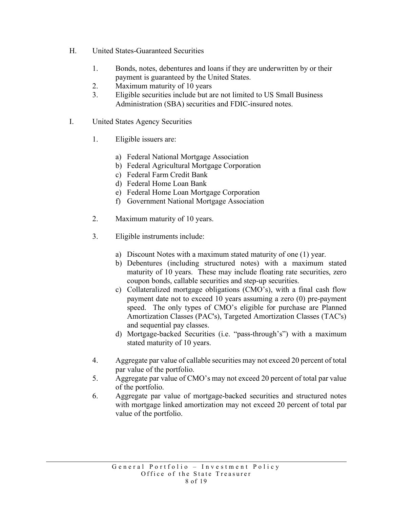- H. United States-Guaranteed Securities
	- 1. Bonds, notes, debentures and loans if they are underwritten by or their payment is guaranteed by the United States.
	- 2. Maximum maturity of 10 years
	- 3. Eligible securities include but are not limited to US Small Business Administration (SBA) securities and FDIC-insured notes.
- <span id="page-10-0"></span>I. United States Agency Securities
	- 1. Eligible issuers are:
		- a) Federal National Mortgage Association
		- b) Federal Agricultural Mortgage Corporation
		- c) Federal Farm Credit Bank
		- d) Federal Home Loan Bank
		- e) Federal Home Loan Mortgage Corporation
		- f) Government National Mortgage Association
	- 2. Maximum maturity of 10 years.
	- 3. Eligible instruments include:
		- a) Discount Notes with a maximum stated maturity of one (1) year.
		- b) Debentures (including structured notes) with a maximum stated maturity of 10 years. These may include floating rate securities, zero coupon bonds, callable securities and step-up securities.
		- c) Collateralized mortgage obligations (CMO's), with a final cash flow payment date not to exceed 10 years assuming a zero (0) pre-payment speed. The only types of CMO's eligible for purchase are Planned Amortization Classes (PAC's), Targeted Amortization Classes (TAC's) and sequential pay classes.
		- d) Mortgage-backed Securities (i.e. "pass-through's") with a maximum stated maturity of 10 years.
	- 4. Aggregate par value of callable securities may not exceed 20 percent of total par value of the portfolio.
	- 5. Aggregate par value of CMO's may not exceed 20 percent of total par value of the portfolio.
	- 6. Aggregate par value of mortgage-backed securities and structured notes with mortgage linked amortization may not exceed 20 percent of total par value of the portfolio.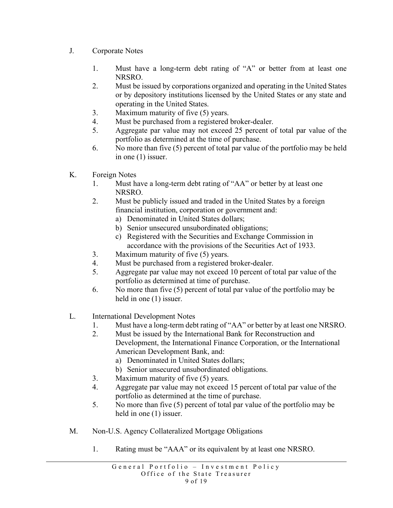- <span id="page-11-0"></span>J. Corporate Notes
	- 1. Must have a long-term debt rating of "A" or better from at least one NRSRO.
	- 2. Must be issued by corporations organized and operating in the United States or by depository institutions licensed by the United States or any state and operating in the United States.
	- 3. Maximum maturity of five (5) years.
	- 4. Must be purchased from a registered broker-dealer.
	- 5. Aggregate par value may not exceed 25 percent of total par value of the portfolio as determined at the time of purchase.
	- 6. No more than five (5) percent of total par value of the portfolio may be held in one (1) issuer.
- K. Foreign Notes
	- 1. Must have a long-term debt rating of "AA" or better by at least one NRSRO.
	- 2. Must be publicly issued and traded in the United States by a foreign financial institution, corporation or government and:
		- a) Denominated in United States dollars;
		- b) Senior unsecured unsubordinated obligations;
		- c) Registered with the Securities and Exchange Commission in accordance with the provisions of the Securities Act of 1933.
	- 3. Maximum maturity of five (5) years.
	- 4. Must be purchased from a registered broker-dealer.
	- 5. Aggregate par value may not exceed 10 percent of total par value of the portfolio as determined at time of purchase.
	- 6. No more than five (5) percent of total par value of the portfolio may be held in one  $(1)$  issuer.
- <span id="page-11-1"></span>L. International Development Notes
	- 1. Must have a long-term debt rating of "AA" or better by at least one NRSRO.
	- 2. Must be issued by the International Bank for Reconstruction and Development, the International Finance Corporation, or the International American Development Bank, and:
		- a) Denominated in United States dollars;
		- b) Senior unsecured unsubordinated obligations.
	- 3. Maximum maturity of five (5) years.
	- 4. Aggregate par value may not exceed 15 percent of total par value of the portfolio as determined at the time of purchase.
	- 5. No more than five (5) percent of total par value of the portfolio may be held in one  $(1)$  issuer.
- M. Non-U.S. Agency Collateralized Mortgage Obligations
	- 1. Rating must be "AAA" or its equivalent by at least one NRSRO.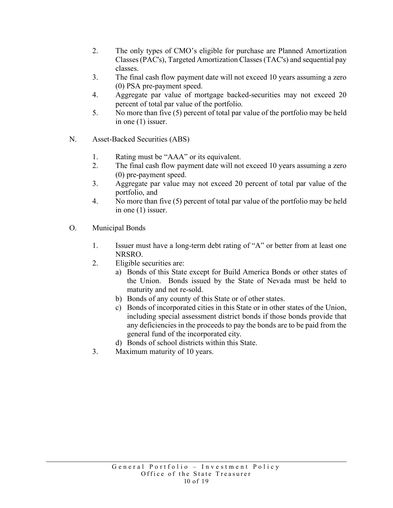- 2. The only types of CMO's eligible for purchase are Planned Amortization Classes (PAC's), Targeted Amortization Classes (TAC's) and sequential pay classes.
- 3. The final cash flow payment date will not exceed 10 years assuming a zero (0) PSA pre-payment speed.
- 4. Aggregate par value of mortgage backed-securities may not exceed 20 percent of total par value of the portfolio.
- 5. No more than five (5) percent of total par value of the portfolio may be held in one (1) issuer.
- <span id="page-12-0"></span>N. Asset-Backed Securities (ABS)
	- 1. Rating must be "AAA" or its equivalent.
	- 2. The final cash flow payment date will not exceed 10 years assuming a zero (0) pre-payment speed.
	- 3. Aggregate par value may not exceed 20 percent of total par value of the portfolio, and
	- 4. No more than five (5) percent of total par value of the portfolio may be held in one (1) issuer.
- <span id="page-12-1"></span>O. Municipal Bonds
	- 1. Issuer must have a long-term debt rating of "A" or better from at least one NRSRO.
	- 2. Eligible securities are:
		- a) Bonds of this State except for Build America Bonds or other states of the Union. Bonds issued by the State of Nevada must be held to maturity and not re-sold.
		- b) Bonds of any county of this State or of other states.
		- c) Bonds of incorporated cities in this State or in other states of the Union, including special assessment district bonds if those bonds provide that any deficiencies in the proceeds to pay the bonds are to be paid from the general fund of the incorporated city.
		- d) Bonds of school districts within this State.
	- 3. Maximum maturity of 10 years.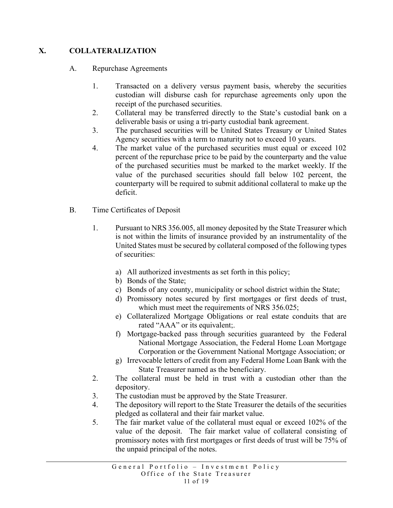# <span id="page-13-1"></span><span id="page-13-0"></span>**X. COLLATERALIZATION**

- A. Repurchase Agreements
	- 1. Transacted on a delivery versus payment basis, whereby the securities custodian will disburse cash for repurchase agreements only upon the receipt of the purchased securities.
	- 2. Collateral may be transferred directly to the State's custodial bank on a deliverable basis or using a tri-party custodial bank agreement.
	- 3. The purchased securities will be United States Treasury or United States Agency securities with a term to maturity not to exceed 10 years.
	- 4. The market value of the purchased securities must equal or exceed 102 percent of the repurchase price to be paid by the counterparty and the value of the purchased securities must be marked to the market weekly. If the value of the purchased securities should fall below 102 percent, the counterparty will be required to submit additional collateral to make up the deficit.
- <span id="page-13-2"></span>B. Time Certificates of Deposit
	- 1. Pursuant to NRS 356.005, all money deposited by the State Treasurer which is not within the limits of insurance provided by an instrumentality of the United States must be secured by collateral composed of the following types of securities:
		- a) All authorized investments as set forth in this policy;
		- b) Bonds of the State;
		- c) Bonds of any county, municipality or school district within the State;
		- d) Promissory notes secured by first mortgages or first deeds of trust, which must meet the requirements of NRS 356.025;
		- e) Collateralized Mortgage Obligations or real estate conduits that are rated "AAA" or its equivalent;.
		- f) Mortgage-backed pass through securities guaranteed by the Federal National Mortgage Association, the Federal Home Loan Mortgage Corporation or the Government National Mortgage Association; or
		- g) Irrevocable letters of credit from any Federal Home Loan Bank with the State Treasurer named as the beneficiary.
	- 2. The collateral must be held in trust with a custodian other than the depository.
	- 3. The custodian must be approved by the State Treasurer.
	- 4. The depository will report to the State Treasurer the details of the securities pledged as collateral and their fair market value.
	- 5. The fair market value of the collateral must equal or exceed 102% of the value of the deposit. The fair market value of collateral consisting of promissory notes with first mortgages or first deeds of trust will be 75% of the unpaid principal of the notes.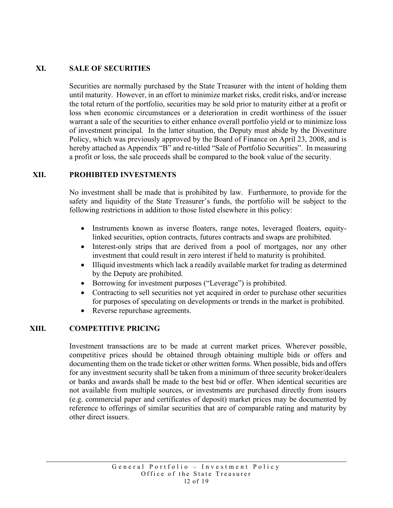### <span id="page-14-0"></span>**XI. SALE OF SECURITIES**

Securities are normally purchased by the State Treasurer with the intent of holding them until maturity. However, in an effort to minimize market risks, credit risks, and/or increase the total return of the portfolio, securities may be sold prior to maturity either at a profit or loss when economic circumstances or a deterioration in credit worthiness of the issuer warrant a sale of the securities to either enhance overall portfolio yield or to minimize loss of investment principal. In the latter situation, the Deputy must abide by the Divestiture Policy, which was previously approved by the Board of Finance on April 23, 2008, and is hereby attached as Appendix "B" and re-titled "Sale of Portfolio Securities". In measuring a profit or loss, the sale proceeds shall be compared to the book value of the security.

### <span id="page-14-1"></span>**XII. PROHIBITED INVESTMENTS**

No investment shall be made that is prohibited by law. Furthermore, to provide for the safety and liquidity of the State Treasurer's funds, the portfolio will be subject to the following restrictions in addition to those listed elsewhere in this policy:

- Instruments known as inverse floaters, range notes, leveraged floaters, equitylinked securities, option contracts, futures contracts and swaps are prohibited.
- Interest-only strips that are derived from a pool of mortgages, nor any other investment that could result in zero interest if held to maturity is prohibited.
- Illiquid investments which lack a readily available market for trading as determined by the Deputy are prohibited.
- Borrowing for investment purposes ("Leverage") is prohibited.
- Contracting to sell securities not yet acquired in order to purchase other securities for purposes of speculating on developments or trends in the market is prohibited.
- Reverse repurchase agreements.

#### <span id="page-14-2"></span>**XIII. COMPETITIVE PRICING**

Investment transactions are to be made at current market prices. Wherever possible, competitive prices should be obtained through obtaining multiple bids or offers and documenting them on the trade ticket or other written forms. When possible, bids and offers for any investment security shall be taken from a minimum of three security broker/dealers or banks and awards shall be made to the best bid or offer. When identical securities are not available from multiple sources, or investments are purchased directly from issuers (e.g. commercial paper and certificates of deposit) market prices may be documented by reference to offerings of similar securities that are of comparable rating and maturity by other direct issuers.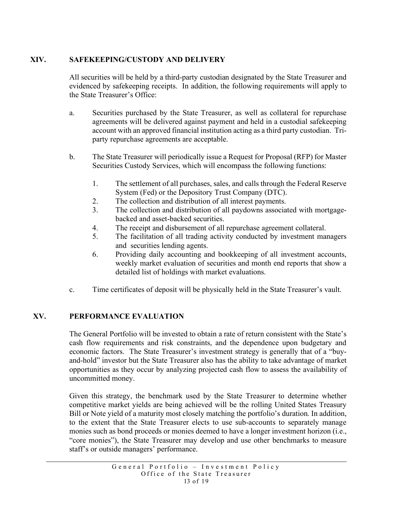## <span id="page-15-0"></span>**XIV. SAFEKEEPING/CUSTODY AND DELIVERY**

All securities will be held by a third-party custodian designated by the State Treasurer and evidenced by safekeeping receipts. In addition, the following requirements will apply to the State Treasurer's Office:

- a. Securities purchased by the State Treasurer, as well as collateral for repurchase agreements will be delivered against payment and held in a custodial safekeeping account with an approved financial institution acting as a third party custodian. Triparty repurchase agreements are acceptable.
- b. The State Treasurer will periodically issue a Request for Proposal (RFP) for Master Securities Custody Services, which will encompass the following functions:
	- 1. The settlement of all purchases, sales, and calls through the Federal Reserve System (Fed) or the Depository Trust Company (DTC).
	- 2. The collection and distribution of all interest payments.
	- 3. The collection and distribution of all paydowns associated with mortgagebacked and asset-backed securities.
	- 4. The receipt and disbursement of all repurchase agreement collateral.
	- 5. The facilitation of all trading activity conducted by investment managers and securities lending agents.
	- 6. Providing daily accounting and bookkeeping of all investment accounts, weekly market evaluation of securities and month end reports that show a detailed list of holdings with market evaluations.
- c. Time certificates of deposit will be physically held in the State Treasurer's vault.

#### <span id="page-15-1"></span>**XV. PERFORMANCE EVALUATION**

The General Portfolio will be invested to obtain a rate of return consistent with the State's cash flow requirements and risk constraints, and the dependence upon budgetary and economic factors. The State Treasurer's investment strategy is generally that of a "buyand-hold" investor but the State Treasurer also has the ability to take advantage of market opportunities as they occur by analyzing projected cash flow to assess the availability of uncommitted money.

Given this strategy, the benchmark used by the State Treasurer to determine whether competitive market yields are being achieved will be the rolling United States Treasury Bill or Note yield of a maturity most closely matching the portfolio's duration. In addition, to the extent that the State Treasurer elects to use sub-accounts to separately manage monies such as bond proceeds or monies deemed to have a longer investment horizon (i.e., "core monies"), the State Treasurer may develop and use other benchmarks to measure staff's or outside managers' performance.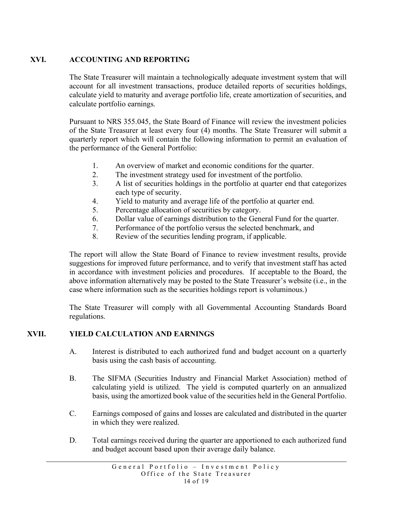# <span id="page-16-0"></span>**XVI. ACCOUNTING AND REPORTING**

The State Treasurer will maintain a technologically adequate investment system that will account for all investment transactions, produce detailed reports of securities holdings, calculate yield to maturity and average portfolio life, create amortization of securities, and calculate portfolio earnings.

Pursuant to NRS 355.045, the State Board of Finance will review the investment policies of the State Treasurer at least every four (4) months. The State Treasurer will submit a quarterly report which will contain the following information to permit an evaluation of the performance of the General Portfolio:

- 1. An overview of market and economic conditions for the quarter.
- 2. The investment strategy used for investment of the portfolio.
- 3. A list of securities holdings in the portfolio at quarter end that categorizes each type of security.
- 4. Yield to maturity and average life of the portfolio at quarter end.
- 5. Percentage allocation of securities by category.
- 6. Dollar value of earnings distribution to the General Fund for the quarter.
- 7. Performance of the portfolio versus the selected benchmark, and
- 8. Review of the securities lending program, if applicable.

The report will allow the State Board of Finance to review investment results, provide suggestions for improved future performance, and to verify that investment staff has acted in accordance with investment policies and procedures. If acceptable to the Board, the above information alternatively may be posted to the State Treasurer's website (i.e., in the case where information such as the securities holdings report is voluminous.)

The State Treasurer will comply with all Governmental Accounting Standards Board regulations.

# <span id="page-16-1"></span>**XVII. YIELD CALCULATION AND EARNINGS**

- A. Interest is distributed to each authorized fund and budget account on a quarterly basis using the cash basis of accounting.
- B. The SIFMA (Securities Industry and Financial Market Association) method of calculating yield is utilized. The yield is computed quarterly on an annualized basis, using the amortized book value of the securities held in the General Portfolio.
- C. Earnings composed of gains and losses are calculated and distributed in the quarter in which they were realized.
- D. Total earnings received during the quarter are apportioned to each authorized fund and budget account based upon their average daily balance.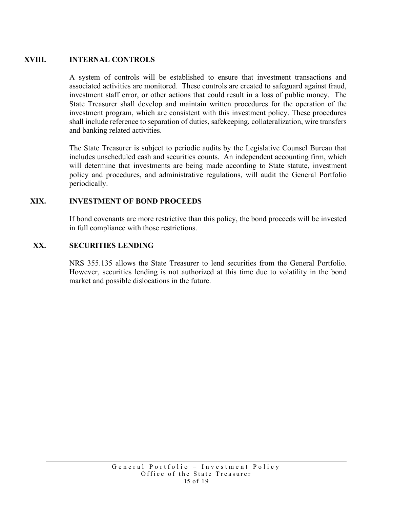## <span id="page-17-0"></span>**XVIII. INTERNAL CONTROLS**

A system of controls will be established to ensure that investment transactions and associated activities are monitored. These controls are created to safeguard against fraud, investment staff error, or other actions that could result in a loss of public money. The State Treasurer shall develop and maintain written procedures for the operation of the investment program, which are consistent with this investment policy. These procedures shall include reference to separation of duties, safekeeping, collateralization, wire transfers and banking related activities.

The State Treasurer is subject to periodic audits by the Legislative Counsel Bureau that includes unscheduled cash and securities counts. An independent accounting firm, which will determine that investments are being made according to State statute, investment policy and procedures, and administrative regulations, will audit the General Portfolio periodically.

### **XIX. INVESTMENT OF BOND PROCEEDS**

If bond covenants are more restrictive than this policy, the bond proceeds will be invested in full compliance with those restrictions.

#### <span id="page-17-1"></span>**XX. SECURITIES LENDING**

NRS 355.135 allows the State Treasurer to lend securities from the General Portfolio. However, securities lending is not authorized at this time due to volatility in the bond market and possible dislocations in the future.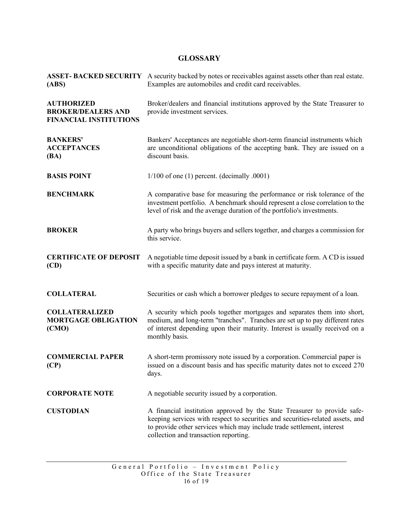# <span id="page-18-0"></span> **GLOSSARY**

| (ABS)                                                                           | <b>ASSET-BACKED SECURITY</b> A security backed by notes or receivables against assets other than real estate.<br>Examples are automobiles and credit card receivables.                                                                                                        |
|---------------------------------------------------------------------------------|-------------------------------------------------------------------------------------------------------------------------------------------------------------------------------------------------------------------------------------------------------------------------------|
| <b>AUTHORIZED</b><br><b>BROKER/DEALERS AND</b><br><b>FINANCIAL INSTITUTIONS</b> | Broker/dealers and financial institutions approved by the State Treasurer to<br>provide investment services.                                                                                                                                                                  |
| <b>BANKERS'</b><br><b>ACCEPTANCES</b><br>(BA)                                   | Bankers' Acceptances are negotiable short-term financial instruments which<br>are unconditional obligations of the accepting bank. They are issued on a<br>discount basis.                                                                                                    |
| <b>BASIS POINT</b>                                                              | $1/100$ of one (1) percent. (decimally .0001)                                                                                                                                                                                                                                 |
| <b>BENCHMARK</b>                                                                | A comparative base for measuring the performance or risk tolerance of the<br>investment portfolio. A benchmark should represent a close correlation to the<br>level of risk and the average duration of the portfolio's investments.                                          |
| <b>BROKER</b>                                                                   | A party who brings buyers and sellers together, and charges a commission for<br>this service.                                                                                                                                                                                 |
| <b>CERTIFICATE OF DEPOSIT</b><br>(CD)                                           | A negotiable time deposit issued by a bank in certificate form. A CD is issued<br>with a specific maturity date and pays interest at maturity.                                                                                                                                |
| <b>COLLATERAL</b>                                                               | Securities or cash which a borrower pledges to secure repayment of a loan.                                                                                                                                                                                                    |
| <b>COLLATERALIZED</b><br><b>MORTGAGE OBLIGATION</b><br>(CMO)                    | A security which pools together mortgages and separates them into short,<br>medium, and long-term "tranches". Tranches are set up to pay different rates<br>of interest depending upon their maturity. Interest is usually received on a<br>monthly basis.                    |
| <b>COMMERCIAL PAPER</b><br>(CP)                                                 | A short-term promissory note issued by a corporation. Commercial paper is<br>issued on a discount basis and has specific maturity dates not to exceed 270<br>days.                                                                                                            |
| <b>CORPORATE NOTE</b>                                                           | A negotiable security issued by a corporation.                                                                                                                                                                                                                                |
| <b>CUSTODIAN</b>                                                                | A financial institution approved by the State Treasurer to provide safe-<br>keeping services with respect to securities and securities-related assets, and<br>to provide other services which may include trade settlement, interest<br>collection and transaction reporting. |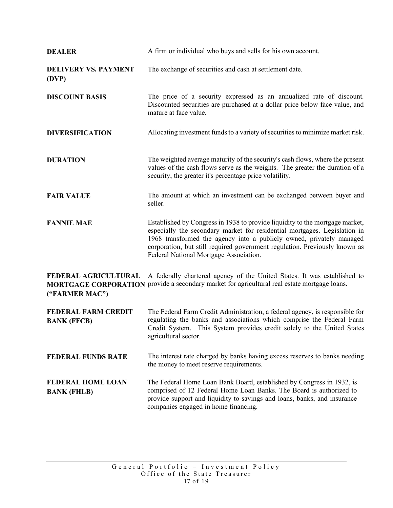| <b>DEALER</b>                                    | A firm or individual who buys and sells for his own account.                                                                                                                                                                                                                                                                                              |
|--------------------------------------------------|-----------------------------------------------------------------------------------------------------------------------------------------------------------------------------------------------------------------------------------------------------------------------------------------------------------------------------------------------------------|
| <b>DELIVERY VS. PAYMENT</b><br>(DVP)             | The exchange of securities and cash at settlement date.                                                                                                                                                                                                                                                                                                   |
| <b>DISCOUNT BASIS</b>                            | The price of a security expressed as an annualized rate of discount.<br>Discounted securities are purchased at a dollar price below face value, and<br>mature at face value.                                                                                                                                                                              |
| <b>DIVERSIFICATION</b>                           | Allocating investment funds to a variety of securities to minimize market risk.                                                                                                                                                                                                                                                                           |
| <b>DURATION</b>                                  | The weighted average maturity of the security's cash flows, where the present<br>values of the cash flows serve as the weights. The greater the duration of a<br>security, the greater it's percentage price volatility.                                                                                                                                  |
| <b>FAIR VALUE</b>                                | The amount at which an investment can be exchanged between buyer and<br>seller.                                                                                                                                                                                                                                                                           |
| <b>FANNIE MAE</b>                                | Established by Congress in 1938 to provide liquidity to the mortgage market,<br>especially the secondary market for residential mortgages. Legislation in<br>1968 transformed the agency into a publicly owned, privately managed<br>corporation, but still required government regulation. Previously known as<br>Federal National Mortgage Association. |
| FEDERAL AGRICULTURAL<br>("FARMER MAC")           | A federally chartered agency of the United States. It was established to<br>MORTGAGE CORPORATION provide a secondary market for agricultural real estate mortgage loans.                                                                                                                                                                                  |
| <b>FEDERAL FARM CREDIT</b><br><b>BANK (FFCB)</b> | The Federal Farm Credit Administration, a federal agency, is responsible for<br>regulating the banks and associations which comprise the Federal Farm<br>Credit System. This System provides credit solely to the United States<br>agricultural sector.                                                                                                   |

FEDERAL FUNDS RATE The interest rate charged by banks having excess reserves to banks needing the money to meet reserve requirements.

**FEDERAL HOME LOAN** The Federal Home Loan Bank Board, established by Congress in 1932, is comprised of 12 Federal Home Loan Banks. The Board is authorized to provide support and liquidity to savings and loans, banks, and insurance companies engaged in home financing. **BANK (FHLB)**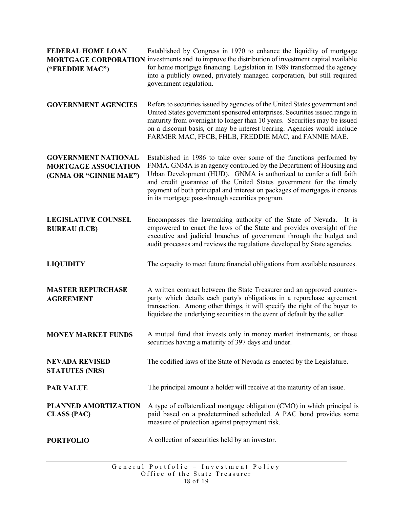| <b>FEDERAL HOME LOAN</b><br>("FREDDIE MAC")                                         | Established by Congress in 1970 to enhance the liquidity of mortgage<br>MORTGAGE CORPORATION investments and to improve the distribution of investment capital available<br>for home mortgage financing. Legislation in 1989 transformed the agency<br>into a publicly owned, privately managed corporation, but still required<br>government regulation.                                                                 |
|-------------------------------------------------------------------------------------|---------------------------------------------------------------------------------------------------------------------------------------------------------------------------------------------------------------------------------------------------------------------------------------------------------------------------------------------------------------------------------------------------------------------------|
| <b>GOVERNMENT AGENCIES</b>                                                          | Refers to securities issued by agencies of the United States government and<br>United States government sponsored enterprises. Securities issued range in<br>maturity from overnight to longer than 10 years. Securities may be issued<br>on a discount basis, or may be interest bearing. Agencies would include<br>FARMER MAC, FFCB, FHLB, FREDDIE MAC, and FANNIE MAE.                                                 |
| <b>GOVERNMENT NATIONAL</b><br><b>MORTGAGE ASSOCIATION</b><br>(GNMA OR "GINNIE MAE") | Established in 1986 to take over some of the functions performed by<br>FNMA. GNMA is an agency controlled by the Department of Housing and<br>Urban Development (HUD). GNMA is authorized to confer a full faith<br>and credit guarantee of the United States government for the timely<br>payment of both principal and interest on packages of mortgages it creates<br>in its mortgage pass-through securities program. |
| <b>LEGISLATIVE COUNSEL</b><br><b>BUREAU (LCB)</b>                                   | Encompasses the lawmaking authority of the State of Nevada. It is<br>empowered to enact the laws of the State and provides oversight of the<br>executive and judicial branches of government through the budget and<br>audit processes and reviews the regulations developed by State agencies.                                                                                                                           |
| <b>LIQUIDITY</b>                                                                    | The capacity to meet future financial obligations from available resources.                                                                                                                                                                                                                                                                                                                                               |
| <b>MASTER REPURCHASE</b><br><b>AGREEMENT</b>                                        | A written contract between the State Treasurer and an approved counter-<br>party which details each party's obligations in a repurchase agreement<br>transaction. Among other things, it will specify the right of the buyer to<br>liquidate the underlying securities in the event of default by the seller.                                                                                                             |
|                                                                                     | MONEY MARKET FUNDS A mutual fund that invests only in money market instruments, or those<br>securities having a maturity of 397 days and under.                                                                                                                                                                                                                                                                           |
| <b>NEVADA REVISED</b><br><b>STATUTES (NRS)</b>                                      | The codified laws of the State of Nevada as enacted by the Legislature.                                                                                                                                                                                                                                                                                                                                                   |
| <b>PAR VALUE</b>                                                                    | The principal amount a holder will receive at the maturity of an issue.                                                                                                                                                                                                                                                                                                                                                   |
| PLANNED AMORTIZATION<br><b>CLASS (PAC)</b>                                          | A type of collateralized mortgage obligation (CMO) in which principal is<br>paid based on a predetermined scheduled. A PAC bond provides some<br>measure of protection against prepayment risk.                                                                                                                                                                                                                           |
| <b>PORTFOLIO</b>                                                                    | A collection of securities held by an investor.                                                                                                                                                                                                                                                                                                                                                                           |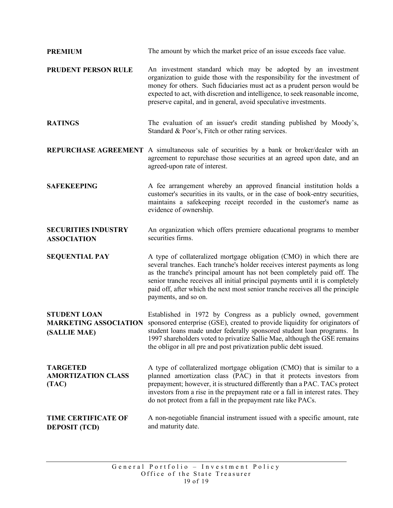| <b>PREMIUM</b>                                                      | The amount by which the market price of an issue exceeds face value.                                                                                                                                                                                                                                                                                                                                                     |
|---------------------------------------------------------------------|--------------------------------------------------------------------------------------------------------------------------------------------------------------------------------------------------------------------------------------------------------------------------------------------------------------------------------------------------------------------------------------------------------------------------|
| PRUDENT PERSON RULE                                                 | An investment standard which may be adopted by an investment<br>organization to guide those with the responsibility for the investment of<br>money for others. Such fiduciaries must act as a prudent person would be<br>expected to act, with discretion and intelligence, to seek reasonable income,<br>preserve capital, and in general, avoid speculative investments.                                               |
| <b>RATINGS</b>                                                      | The evaluation of an issuer's credit standing published by Moody's,<br>Standard & Poor's, Fitch or other rating services.                                                                                                                                                                                                                                                                                                |
|                                                                     | <b>REPURCHASE AGREEMENT</b> A simultaneous sale of securities by a bank or broker/dealer with an<br>agreement to repurchase those securities at an agreed upon date, and an<br>agreed-upon rate of interest.                                                                                                                                                                                                             |
| <b>SAFEKEEPING</b>                                                  | A fee arrangement whereby an approved financial institution holds a<br>customer's securities in its vaults, or in the case of book-entry securities,<br>maintains a safekeeping receipt recorded in the customer's name as<br>evidence of ownership.                                                                                                                                                                     |
| <b>SECURITIES INDUSTRY</b><br><b>ASSOCIATION</b>                    | An organization which offers premiere educational programs to member<br>securities firms.                                                                                                                                                                                                                                                                                                                                |
| <b>SEQUENTIAL PAY</b>                                               | A type of collateralized mortgage obligation (CMO) in which there are<br>several tranches. Each tranche's holder receives interest payments as long<br>as the tranche's principal amount has not been completely paid off. The<br>senior tranche receives all initial principal payments until it is completely<br>paid off, after which the next most senior tranche receives all the principle<br>payments, and so on. |
| <b>STUDENT LOAN</b><br><b>MARKETING ASSOCIATION</b><br>(SALLIE MAE) | Established in 1972 by Congress as a publicly owned, government<br>sponsored enterprise (GSE), created to provide liquidity for originators of<br>student loans made under federally sponsored student loan programs. In<br>1997 shareholders voted to privatize Sallie Mae, although the GSE remains<br>the obligor in all pre and post privatization public debt issued.                                               |
| <b>TARGETED</b><br><b>AMORTIZATION CLASS</b><br>(TAC)               | A type of collateralized mortgage obligation (CMO) that is similar to a<br>planned amortization class (PAC) in that it protects investors from<br>prepayment; however, it is structured differently than a PAC. TACs protect<br>investors from a rise in the prepayment rate or a fall in interest rates. They<br>do not protect from a fall in the prepayment rate like PACs.                                           |
| <b>TIME CERTIFICATE OF</b><br><b>DEPOSIT (TCD)</b>                  | A non-negotiable financial instrument issued with a specific amount, rate<br>and maturity date.                                                                                                                                                                                                                                                                                                                          |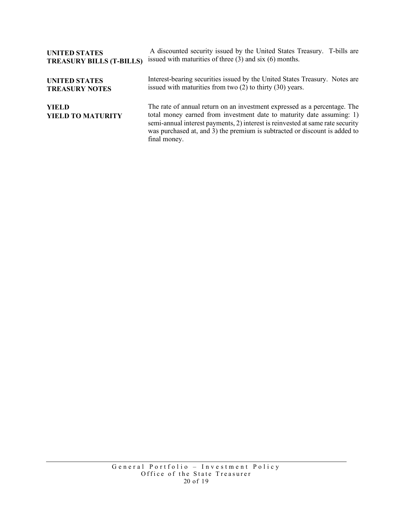| <b>UNITED STATES</b>                     | A discounted security issued by the United States Treasury. T-bills are                                                                                                                                                                                                                                                            |
|------------------------------------------|------------------------------------------------------------------------------------------------------------------------------------------------------------------------------------------------------------------------------------------------------------------------------------------------------------------------------------|
| <b>TREASURY BILLS (T-BILLS)</b>          | issued with maturities of three $(3)$ and six $(6)$ months.                                                                                                                                                                                                                                                                        |
| <b>UNITED STATES</b>                     | Interest-bearing securities issued by the United States Treasury. Notes are                                                                                                                                                                                                                                                        |
| <b>TREASURY NOTES</b>                    | issued with maturities from two $(2)$ to thirty $(30)$ years.                                                                                                                                                                                                                                                                      |
| <b>YIELD</b><br><b>YIELD TO MATURITY</b> | The rate of annual return on an investment expressed as a percentage. The<br>total money earned from investment date to maturity date assuming: 1)<br>semi-annual interest payments, 2) interest is reinvested at same rate security<br>was purchased at, and 3) the premium is subtracted or discount is added to<br>final money. |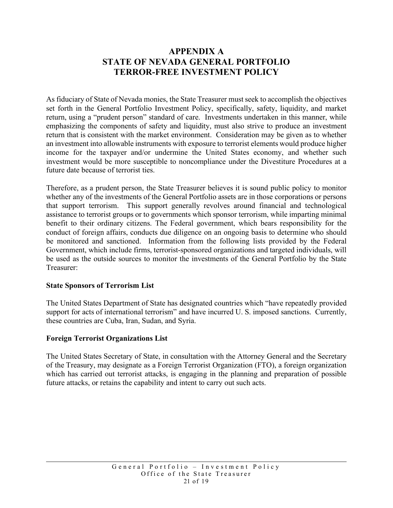# **APPENDIX A STATE OF NEVADA GENERAL PORTFOLIO TERROR-FREE INVESTMENT POLICY**

As fiduciary of State of Nevada monies, the State Treasurer must seek to accomplish the objectives set forth in the General Portfolio Investment Policy, specifically, safety, liquidity, and market return, using a "prudent person" standard of care. Investments undertaken in this manner, while emphasizing the components of safety and liquidity, must also strive to produce an investment return that is consistent with the market environment. Consideration may be given as to whether an investment into allowable instruments with exposure to terrorist elements would produce higher income for the taxpayer and/or undermine the United States economy, and whether such investment would be more susceptible to noncompliance under the Divestiture Procedures at a future date because of terrorist ties.

Therefore, as a prudent person, the State Treasurer believes it is sound public policy to monitor whether any of the investments of the General Portfolio assets are in those corporations or persons that support terrorism. This support generally revolves around financial and technological assistance to terrorist groups or to governments which sponsor terrorism, while imparting minimal benefit to their ordinary citizens. The Federal government, which bears responsibility for the conduct of foreign affairs, conducts due diligence on an ongoing basis to determine who should be monitored and sanctioned. Information from the following lists provided by the Federal Government, which include firms, terrorist-sponsored organizations and targeted individuals, will be used as the outside sources to monitor the investments of the General Portfolio by the State Treasurer:

#### **State Sponsors of Terrorism List**

The United States Department of State has designated countries which "have repeatedly provided support for acts of international terrorism" and have incurred U. S. imposed sanctions. Currently, these countries are Cuba, Iran, Sudan, and Syria.

#### **Foreign Terrorist Organizations List**

The United States Secretary of State, in consultation with the Attorney General and the Secretary of the Treasury, may designate as a Foreign Terrorist Organization (FTO), a foreign organization which has carried out terrorist attacks, is engaging in the planning and preparation of possible future attacks, or retains the capability and intent to carry out such acts.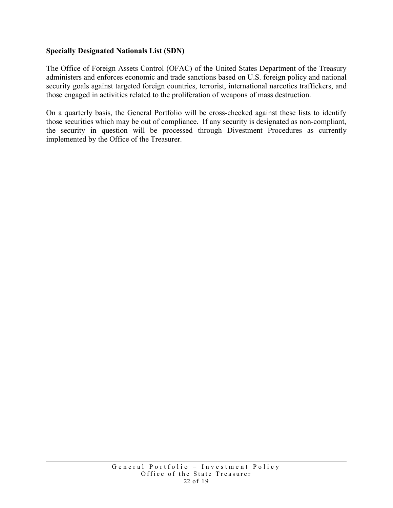#### **Specially Designated Nationals List (SDN)**

The Office of Foreign Assets Control (OFAC) of the United States Department of the Treasury administers and enforces economic and trade sanctions based on U.S. foreign policy and national security goals against targeted foreign countries, terrorist, international narcotics traffickers, and those engaged in activities related to the proliferation of weapons of mass destruction.

On a quarterly basis, the General Portfolio will be cross-checked against these lists to identify those securities which may be out of compliance. If any security is designated as non-compliant, the security in question will be processed through Divestment Procedures as currently implemented by the Office of the Treasurer.